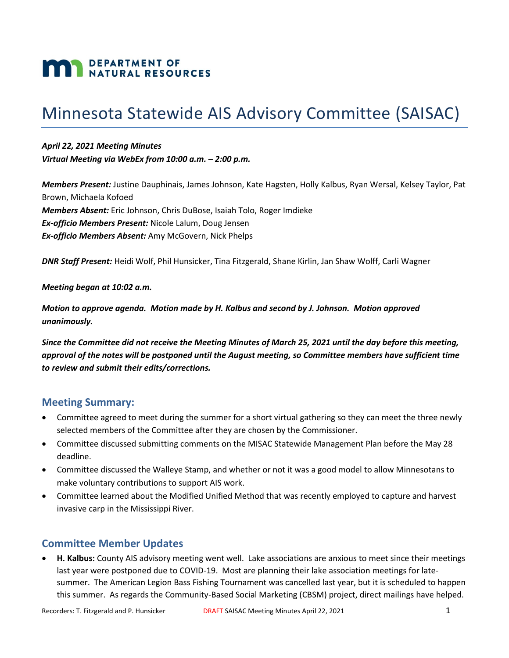# **MAN DEPARTMENT OF NATURAL RESOURCES**

## Minnesota Statewide AIS Advisory Committee (SAISAC)

*April 22, 2021 Meeting Minutes Virtual Meeting via WebEx from 10:00 a.m. – 2:00 p.m.*

*Members Present:* Justine Dauphinais, James Johnson, Kate Hagsten, Holly Kalbus, Ryan Wersal, Kelsey Taylor, Pat Brown, Michaela Kofoed *Members Absent:* Eric Johnson, Chris DuBose, Isaiah Tolo, Roger Imdieke *Ex-officio Members Present:* Nicole Lalum, Doug Jensen *Ex-officio Members Absent:* Amy McGovern, Nick Phelps

*DNR Staff Present:* Heidi Wolf, Phil Hunsicker, Tina Fitzgerald, Shane Kirlin, Jan Shaw Wolff, Carli Wagner

*Meeting began at 10:02 a.m.*

*Motion to approve agenda. Motion made by H. Kalbus and second by J. Johnson. Motion approved unanimously.*

*Since the Committee did not receive the Meeting Minutes of March 25, 2021 until the day before this meeting, approval of the notes will be postponed until the August meeting, so Committee members have sufficient time to review and submit their edits/corrections.* 

## **Meeting Summary:**

- Committee agreed to meet during the summer for a short virtual gathering so they can meet the three newly selected members of the Committee after they are chosen by the Commissioner.
- Committee discussed submitting comments on the MISAC Statewide Management Plan before the May 28 deadline.
- Committee discussed the Walleye Stamp, and whether or not it was a good model to allow Minnesotans to make voluntary contributions to support AIS work.
- Committee learned about the Modified Unified Method that was recently employed to capture and harvest invasive carp in the Mississippi River.

## **Committee Member Updates**

• **H. Kalbus:** County AIS advisory meeting went well. Lake associations are anxious to meet since their meetings last year were postponed due to COVID-19. Most are planning their lake association meetings for latesummer. The American Legion Bass Fishing Tournament was cancelled last year, but it is scheduled to happen this summer. As regards the Community-Based Social Marketing (CBSM) project, direct mailings have helped.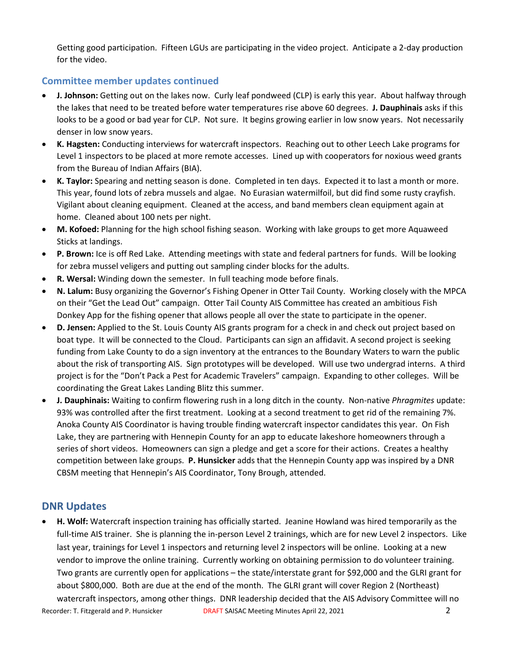Getting good participation. Fifteen LGUs are participating in the video project. Anticipate a 2-day production for the video.

## **Committee member updates continued**

- **J. Johnson:** Getting out on the lakes now. Curly leaf pondweed (CLP) is early this year. About halfway through the lakes that need to be treated before water temperatures rise above 60 degrees. **J. Dauphinais** asks if this looks to be a good or bad year for CLP. Not sure. It begins growing earlier in low snow years. Not necessarily denser in low snow years.
- **K. Hagsten:** Conducting interviews for watercraft inspectors. Reaching out to other Leech Lake programs for Level 1 inspectors to be placed at more remote accesses. Lined up with cooperators for noxious weed grants from the Bureau of Indian Affairs (BIA).
- **K. Taylor:** Spearing and netting season is done. Completed in ten days. Expected it to last a month or more. This year, found lots of zebra mussels and algae. No Eurasian watermilfoil, but did find some rusty crayfish. Vigilant about cleaning equipment. Cleaned at the access, and band members clean equipment again at home. Cleaned about 100 nets per night.
- **M. Kofoed:** Planning for the high school fishing season. Working with lake groups to get more Aquaweed Sticks at landings.
- **P. Brown:** Ice is off Red Lake. Attending meetings with state and federal partners for funds. Will be looking for zebra mussel veligers and putting out sampling cinder blocks for the adults.
- **R. Wersal:** Winding down the semester. In full teaching mode before finals.
- **N. Lalum:** Busy organizing the Governor's Fishing Opener in Otter Tail County. Working closely with the MPCA on their "Get the Lead Out" campaign. Otter Tail County AIS Committee has created an ambitious Fish Donkey App for the fishing opener that allows people all over the state to participate in the opener.
- **D. Jensen:** Applied to the St. Louis County AIS grants program for a check in and check out project based on boat type. It will be connected to the Cloud. Participants can sign an affidavit. A second project is seeking funding from Lake County to do a sign inventory at the entrances to the Boundary Waters to warn the public about the risk of transporting AIS. Sign prototypes will be developed. Will use two undergrad interns. A third project is for the "Don't Pack a Pest for Academic Travelers" campaign. Expanding to other colleges. Will be coordinating the Great Lakes Landing Blitz this summer.
- **J. Dauphinais:** Waiting to confirm flowering rush in a long ditch in the county. Non-native *Phragmites* update: 93% was controlled after the first treatment. Looking at a second treatment to get rid of the remaining 7%. Anoka County AIS Coordinator is having trouble finding watercraft inspector candidates this year. On Fish Lake, they are partnering with Hennepin County for an app to educate lakeshore homeowners through a series of short videos. Homeowners can sign a pledge and get a score for their actions. Creates a healthy competition between lake groups. **P. Hunsicker** adds that the Hennepin County app was inspired by a DNR CBSM meeting that Hennepin's AIS Coordinator, Tony Brough, attended.

## **DNR Updates**

• **H. Wolf:** Watercraft inspection training has officially started. Jeanine Howland was hired temporarily as the full-time AIS trainer. She is planning the in-person Level 2 trainings, which are for new Level 2 inspectors. Like last year, trainings for Level 1 inspectors and returning level 2 inspectors will be online. Looking at a new vendor to improve the online training. Currently working on obtaining permission to do volunteer training. Two grants are currently open for applications – the state/interstate grant for \$92,000 and the GLRI grant for about \$800,000. Both are due at the end of the month. The GLRI grant will cover Region 2 (Northeast) watercraft inspectors, among other things. DNR leadership decided that the AIS Advisory Committee will no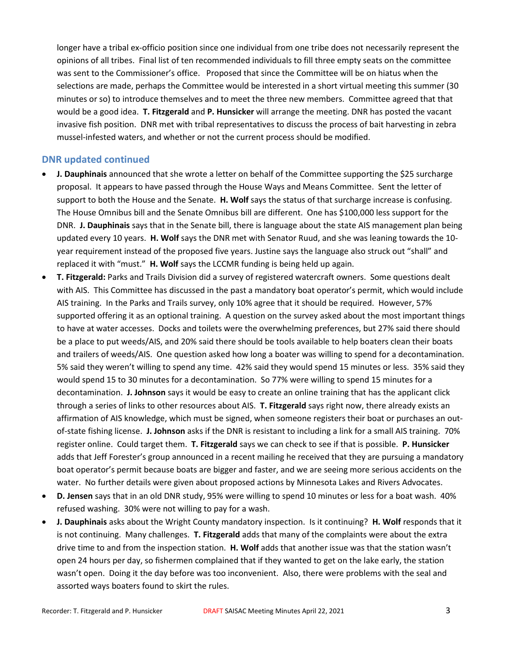longer have a tribal ex-officio position since one individual from one tribe does not necessarily represent the opinions of all tribes. Final list of ten recommended individuals to fill three empty seats on the committee was sent to the Commissioner's office. Proposed that since the Committee will be on hiatus when the selections are made, perhaps the Committee would be interested in a short virtual meeting this summer (30 minutes or so) to introduce themselves and to meet the three new members. Committee agreed that that would be a good idea. **T. Fitzgerald** and **P. Hunsicker** will arrange the meeting. DNR has posted the vacant invasive fish position. DNR met with tribal representatives to discuss the process of bait harvesting in zebra mussel-infested waters, and whether or not the current process should be modified.

### **DNR updated continued**

- **J. Dauphinais** announced that she wrote a letter on behalf of the Committee supporting the \$25 surcharge proposal. It appears to have passed through the House Ways and Means Committee. Sent the letter of support to both the House and the Senate. **H. Wolf** says the status of that surcharge increase is confusing. The House Omnibus bill and the Senate Omnibus bill are different. One has \$100,000 less support for the DNR. **J. Dauphinais** says that in the Senate bill, there is language about the state AIS management plan being updated every 10 years. **H. Wolf** says the DNR met with Senator Ruud, and she was leaning towards the 10 year requirement instead of the proposed five years. Justine says the language also struck out "shall" and replaced it with "must." **H. Wolf** says the LCCMR funding is being held up again.
- **T. Fitzgerald:** Parks and Trails Division did a survey of registered watercraft owners. Some questions dealt with AIS. This Committee has discussed in the past a mandatory boat operator's permit, which would include AIS training. In the Parks and Trails survey, only 10% agree that it should be required. However, 57% supported offering it as an optional training. A question on the survey asked about the most important things to have at water accesses. Docks and toilets were the overwhelming preferences, but 27% said there should be a place to put weeds/AIS, and 20% said there should be tools available to help boaters clean their boats and trailers of weeds/AIS. One question asked how long a boater was willing to spend for a decontamination. 5% said they weren't willing to spend any time. 42% said they would spend 15 minutes or less. 35% said they would spend 15 to 30 minutes for a decontamination. So 77% were willing to spend 15 minutes for a decontamination. **J. Johnson** says it would be easy to create an online training that has the applicant click through a series of links to other resources about AIS. **T. Fitzgerald** says right now, there already exists an affirmation of AIS knowledge, which must be signed, when someone registers their boat or purchases an outof-state fishing license. **J. Johnson** asks if the DNR is resistant to including a link for a small AIS training. 70% register online. Could target them. **T. Fitzgerald** says we can check to see if that is possible. **P. Hunsicker**  adds that Jeff Forester's group announced in a recent mailing he received that they are pursuing a mandatory boat operator's permit because boats are bigger and faster, and we are seeing more serious accidents on the water. No further details were given about proposed actions by Minnesota Lakes and Rivers Advocates.
- **D. Jensen** says that in an old DNR study, 95% were willing to spend 10 minutes or less for a boat wash. 40% refused washing. 30% were not willing to pay for a wash.
- **J. Dauphinais** asks about the Wright County mandatory inspection. Is it continuing? **H. Wolf** responds that it is not continuing. Many challenges. **T. Fitzgerald** adds that many of the complaints were about the extra drive time to and from the inspection station. **H. Wolf** adds that another issue was that the station wasn't open 24 hours per day, so fishermen complained that if they wanted to get on the lake early, the station wasn't open. Doing it the day before was too inconvenient. Also, there were problems with the seal and assorted ways boaters found to skirt the rules.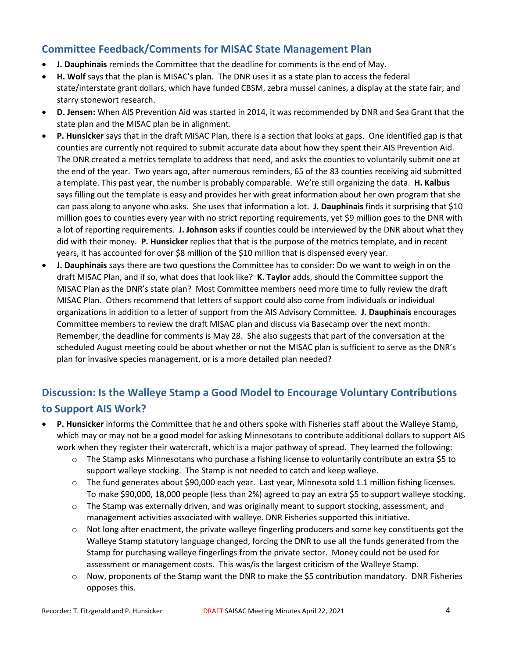## **Committee Feedback/Comments for MISAC State Management Plan**

- **J. Dauphinais** reminds the Committee that the deadline for comments is the end of May.
- **H. Wolf** says that the plan is MISAC's plan. The DNR uses it as a state plan to access the federal state/interstate grant dollars, which have funded CBSM, zebra mussel canines, a display at the state fair, and starry stonewort research.
- **D. Jensen:** When AIS Prevention Aid was started in 2014, it was recommended by DNR and Sea Grant that the state plan and the MISAC plan be in alignment.
- **P. Hunsicker** says that in the draft MISAC Plan, there is a section that looks at gaps. One identified gap is that counties are currently not required to submit accurate data about how they spent their AIS Prevention Aid. The DNR created a metrics template to address that need, and asks the counties to voluntarily submit one at the end of the year. Two years ago, after numerous reminders, 65 of the 83 counties receiving aid submitted a template. This past year, the number is probably comparable. We're still organizing the data. **H. Kalbus**  says filling out the template is easy and provides her with great information about her own program that she can pass along to anyone who asks. She uses that information a lot. **J. Dauphinais** finds it surprising that \$10 million goes to counties every year with no strict reporting requirements, yet \$9 million goes to the DNR with a lot of reporting requirements. **J. Johnson** asks if counties could be interviewed by the DNR about what they did with their money. **P. Hunsicker** replies that that is the purpose of the metrics template, and in recent years, it has accounted for over \$8 million of the \$10 million that is dispensed every year.
- **J. Dauphinais** says there are two questions the Committee has to consider: Do we want to weigh in on the draft MISAC Plan, and if so, what does that look like? **K. Taylor** adds, should the Committee support the MISAC Plan as the DNR's state plan? Most Committee members need more time to fully review the draft MISAC Plan. Others recommend that letters of support could also come from individuals or individual organizations in addition to a letter of support from the AIS Advisory Committee. **J. Dauphinais** encourages Committee members to review the draft MISAC plan and discuss via Basecamp over the next month. Remember, the deadline for comments is May 28. She also suggests that part of the conversation at the scheduled August meeting could be about whether or not the MISAC plan is sufficient to serve as the DNR's plan for invasive species management, or is a more detailed plan needed?

## **Discussion: Is the Walleye Stamp a Good Model to Encourage Voluntary Contributions to Support AIS Work?**

- **P. Hunsicker** informs the Committee that he and others spoke with Fisheries staff about the Walleye Stamp, which may or may not be a good model for asking Minnesotans to contribute additional dollars to support AIS work when they register their watercraft, which is a major pathway of spread. They learned the following:
	- o The Stamp asks Minnesotans who purchase a fishing license to voluntarily contribute an extra \$5 to support walleye stocking. The Stamp is not needed to catch and keep walleye.
	- o The fund generates about \$90,000 each year. Last year, Minnesota sold 1.1 million fishing licenses. To make \$90,000, 18,000 people (less than 2%) agreed to pay an extra \$5 to support walleye stocking.
	- o The Stamp was externally driven, and was originally meant to support stocking, assessment, and management activities associated with walleye. DNR Fisheries supported this initiative.
	- o Not long after enactment, the private walleye fingerling producers and some key constituents got the Walleye Stamp statutory language changed, forcing the DNR to use all the funds generated from the Stamp for purchasing walleye fingerlings from the private sector. Money could not be used for assessment or management costs. This was/is the largest criticism of the Walleye Stamp.
	- o Now, proponents of the Stamp want the DNR to make the \$5 contribution mandatory. DNR Fisheries opposes this.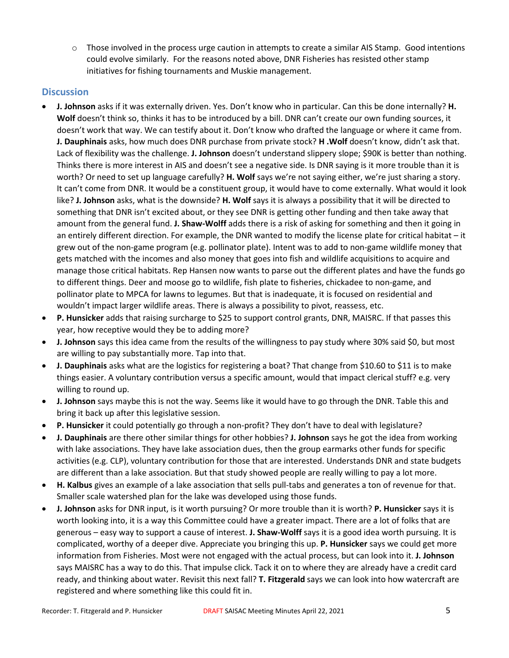$\circ$  Those involved in the process urge caution in attempts to create a similar AIS Stamp. Good intentions could evolve similarly. For the reasons noted above, DNR Fisheries has resisted other stamp initiatives for fishing tournaments and Muskie management.

## **Discussion**

- **J. Johnson** asks if it was externally driven. Yes. Don't know who in particular. Can this be done internally? **H. Wolf** doesn't think so, thinks it has to be introduced by a bill. DNR can't create our own funding sources, it doesn't work that way. We can testify about it. Don't know who drafted the language or where it came from. **J. Dauphinais** asks, how much does DNR purchase from private stock? **H .Wolf** doesn't know, didn't ask that. Lack of flexibility was the challenge. **J. Johnson** doesn't understand slippery slope; \$90K is better than nothing. Thinks there is more interest in AIS and doesn't see a negative side. Is DNR saying is it more trouble than it is worth? Or need to set up language carefully? **H. Wolf** says we're not saying either, we're just sharing a story. It can't come from DNR. It would be a constituent group, it would have to come externally. What would it look like? **J. Johnson** asks, what is the downside? **H. Wolf** says it is always a possibility that it will be directed to something that DNR isn't excited about, or they see DNR is getting other funding and then take away that amount from the general fund. **J. Shaw-Wolff** adds there is a risk of asking for something and then it going in an entirely different direction. For example, the DNR wanted to modify the license plate for critical habitat – it grew out of the non-game program (e.g. pollinator plate). Intent was to add to non-game wildlife money that gets matched with the incomes and also money that goes into fish and wildlife acquisitions to acquire and manage those critical habitats. Rep Hansen now wants to parse out the different plates and have the funds go to different things. Deer and moose go to wildlife, fish plate to fisheries, chickadee to non-game, and pollinator plate to MPCA for lawns to legumes. But that is inadequate, it is focused on residential and wouldn't impact larger wildlife areas. There is always a possibility to pivot, reassess, etc.
- **P. Hunsicker** adds that raising surcharge to \$25 to support control grants, DNR, MAISRC. If that passes this year, how receptive would they be to adding more?
- **J. Johnson** says this idea came from the results of the willingness to pay study where 30% said \$0, but most are willing to pay substantially more. Tap into that.
- **J. Dauphinais** asks what are the logistics for registering a boat? That change from \$10.60 to \$11 is to make things easier. A voluntary contribution versus a specific amount, would that impact clerical stuff? e.g. very willing to round up.
- **J. Johnson** says maybe this is not the way. Seems like it would have to go through the DNR. Table this and bring it back up after this legislative session.
- **P. Hunsicker** it could potentially go through a non-profit? They don't have to deal with legislature?
- **J. Dauphinais** are there other similar things for other hobbies? **J. Johnson** says he got the idea from working with lake associations. They have lake association dues, then the group earmarks other funds for specific activities (e.g. CLP), voluntary contribution for those that are interested. Understands DNR and state budgets are different than a lake association. But that study showed people are really willing to pay a lot more.
- **H. Kalbus** gives an example of a lake association that sells pull-tabs and generates a ton of revenue for that. Smaller scale watershed plan for the lake was developed using those funds.
- **J. Johnson** asks for DNR input, is it worth pursuing? Or more trouble than it is worth? **P. Hunsicker** says it is worth looking into, it is a way this Committee could have a greater impact. There are a lot of folks that are generous – easy way to support a cause of interest. **J. Shaw-Wolff** says it is a good idea worth pursuing. It is complicated, worthy of a deeper dive. Appreciate you bringing this up. **P. Hunsicker** says we could get more information from Fisheries. Most were not engaged with the actual process, but can look into it. **J. Johnson** says MAISRC has a way to do this. That impulse click. Tack it on to where they are already have a credit card ready, and thinking about water. Revisit this next fall? **T. Fitzgerald** says we can look into how watercraft are registered and where something like this could fit in.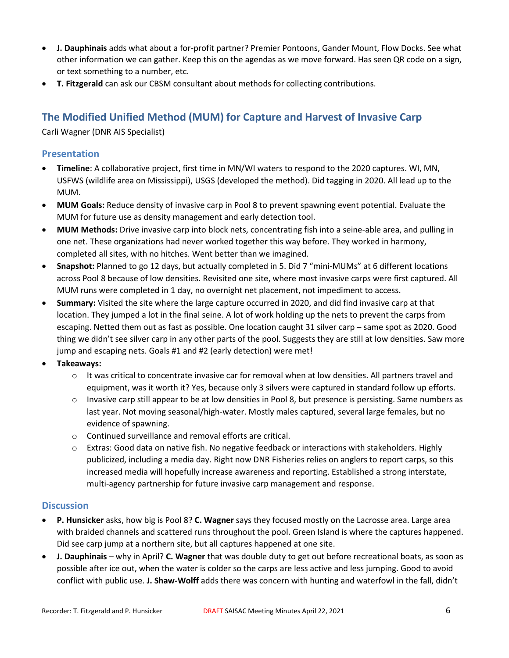- **J. Dauphinais** adds what about a for-profit partner? Premier Pontoons, Gander Mount, Flow Docks. See what other information we can gather. Keep this on the agendas as we move forward. Has seen QR code on a sign, or text something to a number, etc.
- **T. Fitzgerald** can ask our CBSM consultant about methods for collecting contributions.

## **The Modified Unified Method (MUM) for Capture and Harvest of Invasive Carp**

Carli Wagner (DNR AIS Specialist)

### **Presentation**

- **Timeline**: A collaborative project, first time in MN/WI waters to respond to the 2020 captures. WI, MN, USFWS (wildlife area on Mississippi), USGS (developed the method). Did tagging in 2020. All lead up to the MUM.
- **MUM Goals:** Reduce density of invasive carp in Pool 8 to prevent spawning event potential. Evaluate the MUM for future use as density management and early detection tool.
- **MUM Methods:** Drive invasive carp into block nets, concentrating fish into a seine-able area, and pulling in one net. These organizations had never worked together this way before. They worked in harmony, completed all sites, with no hitches. Went better than we imagined.
- **Snapshot:** Planned to go 12 days, but actually completed in 5. Did 7 "mini-MUMs" at 6 different locations across Pool 8 because of low densities. Revisited one site, where most invasive carps were first captured. All MUM runs were completed in 1 day, no overnight net placement, not impediment to access.
- **Summary:** Visited the site where the large capture occurred in 2020, and did find invasive carp at that location. They jumped a lot in the final seine. A lot of work holding up the nets to prevent the carps from escaping. Netted them out as fast as possible. One location caught 31 silver carp – same spot as 2020. Good thing we didn't see silver carp in any other parts of the pool. Suggests they are still at low densities. Saw more jump and escaping nets. Goals #1 and #2 (early detection) were met!
- **Takeaways:** 
	- o It was critical to concentrate invasive car for removal when at low densities. All partners travel and equipment, was it worth it? Yes, because only 3 silvers were captured in standard follow up efforts.
	- o Invasive carp still appear to be at low densities in Pool 8, but presence is persisting. Same numbers as last year. Not moving seasonal/high-water. Mostly males captured, several large females, but no evidence of spawning.
	- o Continued surveillance and removal efforts are critical.
	- $\circ$  Extras: Good data on native fish. No negative feedback or interactions with stakeholders. Highly publicized, including a media day. Right now DNR Fisheries relies on anglers to report carps, so this increased media will hopefully increase awareness and reporting. Established a strong interstate, multi-agency partnership for future invasive carp management and response.

#### **Discussion**

- **P. Hunsicker** asks, how big is Pool 8? **C. Wagner** says they focused mostly on the Lacrosse area. Large area with braided channels and scattered runs throughout the pool. Green Island is where the captures happened. Did see carp jump at a northern site, but all captures happened at one site.
- **J. Dauphinais**  why in April? **C. Wagner** that was double duty to get out before recreational boats, as soon as possible after ice out, when the water is colder so the carps are less active and less jumping. Good to avoid conflict with public use. **J. Shaw-Wolff** adds there was concern with hunting and waterfowl in the fall, didn't